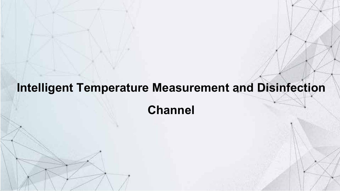# **Intelligent Temperature Measurement and Disinfection**

**Channel**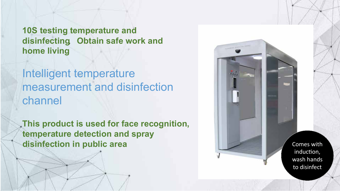**10S testing temperature and disinfecting**,**Obtain safe work and home living**

Intelligent temperature measurement and disinfection channel

**This product is used for face recognition, temperature detection and spray disinfection in public area** Comes with

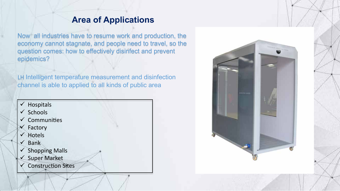#### **Area of Applications**

Now all industries have to resume work and production, the economy cannot stagnate, and people need to travel, so the question comes: how to effectively disinfect and prevent epidemics?

LH Intelligent temperature measurement and disinfection channel is able to applied to all kinds of public area

 $\checkmark$  Hospitals  $\checkmark$  Schools  $\checkmark$  Communities  $\checkmark$  Factory  $\checkmark$  Hotels  $\checkmark$  Bank  $\checkmark$  Shopping Malls Super Market **Construction Sites** 

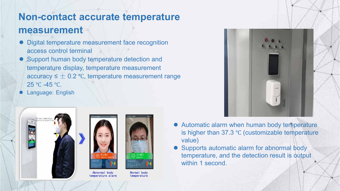#### **Non-contact accurate temperature measurement**

- Digital temperature measurement face recognition access control terminal
- Support human body temperature detection and temperature display, temperature measurement accuracy  $\leq \pm 0.2$  °C, temperature measurement range 25 °C -45 °C.
- Language: English





temperature alarm



Normal body temperature



- Automatic alarm when human body temperature is higher than 37.3 ℃ (customizable temperature value)
- Supports automatic alarm for abnormal body temperature, and the detection result is output within 1 second.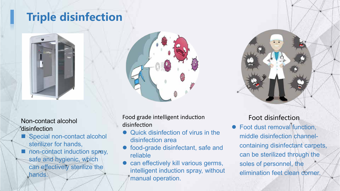### **Triple disinfection**



Non-contact alcohol disinfection

- Special non-contact alcohol sterilizer for hands,
- non-contact induction spray, safe and hygienic, which can effectively sterilize the hands.

Food grade intelligent induction disinfection

- Quick disinfection of virus in the disinfection area
- food-grade disinfectant, safe and reliable
- can effectively kill various germs, intelligent induction spray, without manual operation.



#### Foot disinfection

 Foot dust removal function, middle disinfection channelcontaining disinfectant carpets, can be sterilized through the soles of personnel, the elimination feet clean corner.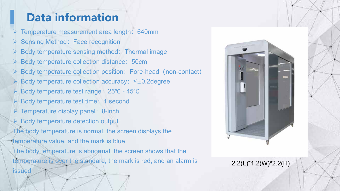## **Data information**

Temperature measurement area length:640mm

- ▶ Sensing Method: Face recognition
- $\triangleright$  Body temperature sensing method: Thermal image
- Body temperature collection distance: 50cm
- Body temperature collection position: Fore-head (non-contact)
- Body temperature collection accuracy:≤±0.2degree
- Body temperature test range: 25℃ 45℃
- Body temperature test time: 1 second
- Temperature display panel: 8-inch
- Body temperature detection output:

The body temperature is normal, the screen displays the

temperature value, and the mark is blue

issued

The body temperature is abnormal, the screen shows that the temperature is over the standard, the mark is red, and an alarm is



#### 2.2(L)\*1.2(W)\*2.2(H)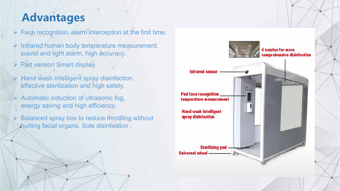#### **Advantages**

 $\triangleright$  Face recognition, alarm interception at the first time.

- $\triangleright$  Infrared human body temperature measurement, sound and light alarm, high accuracy.
- $\triangleright$  Pad version Smart display.
- $\triangleright$  Hand wash intelligent spray disinfection, effective sterilization and high safety.
- $\triangleright$  Automatic induction of ultrasonic fog, energy saving and high efficiency.
- $\triangleright$  Balanced spray box to reduce throttling without hurting facial organs, Sole disinfection . :

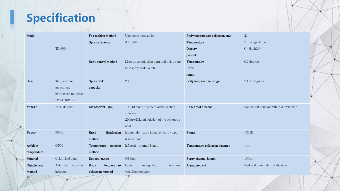## **Specification**

| Model        |                      | Fog making method    | Ultrasonic atomization                    | Body temperature collection time | $2\mathrm{s}$                          |
|--------------|----------------------|----------------------|-------------------------------------------|----------------------------------|----------------------------------------|
|              |                      | Spray efficienty     | $3 - 6$ KG/H                              | Temperature                      | 23.4digitaltube                        |
|              | $TD - 600$           |                      |                                           | Display                          | Or 8inchLD                             |
|              |                      |                      |                                           | pannel                           |                                        |
|              |                      | Spay control method  | Microwave induction start and delay stop, | Temperature                      | $0.2$ degree                           |
|              |                      |                      | four spray ports in total                 | Error                            |                                        |
|              |                      |                      |                                           | range                            |                                        |
| Size         | Temperature          | Spray tank           | 20L                                       | Body temperature range           | $20-50$ degrees                        |
|              | measuring            | capacity             |                                           |                                  |                                        |
|              | hand cleaning device |                      |                                           |                                  |                                        |
|              | 220*120*230cm        |                      |                                           |                                  |                                        |
| Voltage      | AC110/230V           | Disinfectant Type    | 100-400ppmChlorine dioxide dilution       | Rain-proof functino              | Equipment housing with rain protection |
|              |                      |                      | solution,                                 |                                  |                                        |
|              |                      |                      | 200ppMDiluted solution of hypochlorous    |                                  |                                        |
|              |                      |                      | acid                                      |                                  |                                        |
| Power        | 900W                 | Hand<br>disinfection | Independent area induction spray type     | Sound                            | $\triangleleft$ 6dB                    |
|              |                      | method               | disinfectant                              |                                  |                                        |
| Ambient      | 0-50C                | Temperature sensing  | Infrared thermal image                    | Temperature collection distance  |                                        |
| temperature  |                      | method               |                                           |                                  |                                        |
| Material     | Cold rolled plate    | Spectral range       | $8 - 4$ um                                | Spray channel length             | 150cm                                  |
| Disinfection | Automatic induction  | Body<br>temperature  | Face<br>fore hend,<br>recognition,        | Alarm method                     | Red and green alarm indication         |
| method       | injection            | collection method    | $wrist$ (non contact)                     |                                  |                                        |